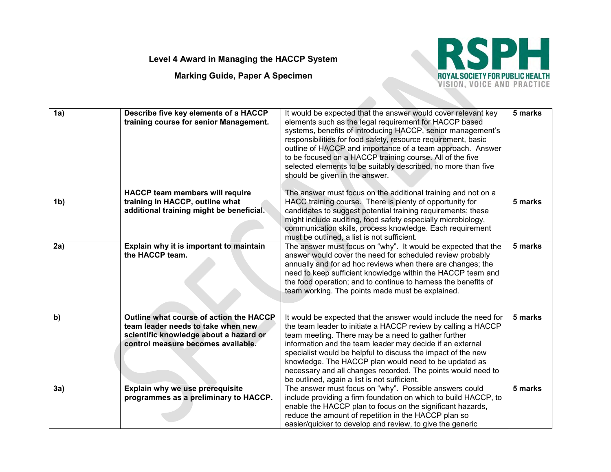## **Level 4 Award in Managing the HACCP System**

**Marking Guide, Paper A Specimen**



| 1a)            | Describe five key elements of a HACCP<br>training course for senior Management.                                                                               | It would be expected that the answer would cover relevant key<br>elements such as the legal requirement for HACCP based<br>systems, benefits of introducing HACCP, senior management's<br>responsibilities for food safety, resource requirement, basic<br>outline of HACCP and importance of a team approach. Answer<br>to be focused on a HACCP training course. All of the five<br>selected elements to be suitably described, no more than five<br>should be given in the answer.         | 5 marks |
|----------------|---------------------------------------------------------------------------------------------------------------------------------------------------------------|-----------------------------------------------------------------------------------------------------------------------------------------------------------------------------------------------------------------------------------------------------------------------------------------------------------------------------------------------------------------------------------------------------------------------------------------------------------------------------------------------|---------|
| 1 <sub>b</sub> | <b>HACCP team members will require</b><br>training in HACCP, outline what<br>additional training might be beneficial.                                         | The answer must focus on the additional training and not on a<br>HACC training course. There is plenty of opportunity for<br>candidates to suggest potential training requirements; these<br>might include auditing, food safety especially microbiology,<br>communication skills, process knowledge. Each requirement<br>must be outlined, a list is not sufficient.                                                                                                                         | 5 marks |
| 2a)            | Explain why it is important to maintain<br>the HACCP team.                                                                                                    | The answer must focus on "why". It would be expected that the<br>answer would cover the need for scheduled review probably<br>annually and for ad hoc reviews when there are changes; the<br>need to keep sufficient knowledge within the HACCP team and<br>the food operation; and to continue to harness the benefits of<br>team working. The points made must be explained.                                                                                                                | 5 marks |
| b)             | Outline what course of action the HACCP<br>team leader needs to take when new<br>scientific knowledge about a hazard or<br>control measure becomes available. | It would be expected that the answer would include the need for<br>the team leader to initiate a HACCP review by calling a HACCP<br>team meeting. There may be a need to gather further<br>information and the team leader may decide if an external<br>specialist would be helpful to discuss the impact of the new<br>knowledge. The HACCP plan would need to be updated as<br>necessary and all changes recorded. The points would need to<br>be outlined, again a list is not sufficient. | 5 marks |
| 3a)            | Explain why we use prerequisite<br>programmes as a preliminary to HACCP.                                                                                      | The answer must focus on "why". Possible answers could<br>include providing a firm foundation on which to build HACCP, to<br>enable the HACCP plan to focus on the significant hazards,<br>reduce the amount of repetition in the HACCP plan so<br>easier/quicker to develop and review, to give the generic                                                                                                                                                                                  | 5 marks |